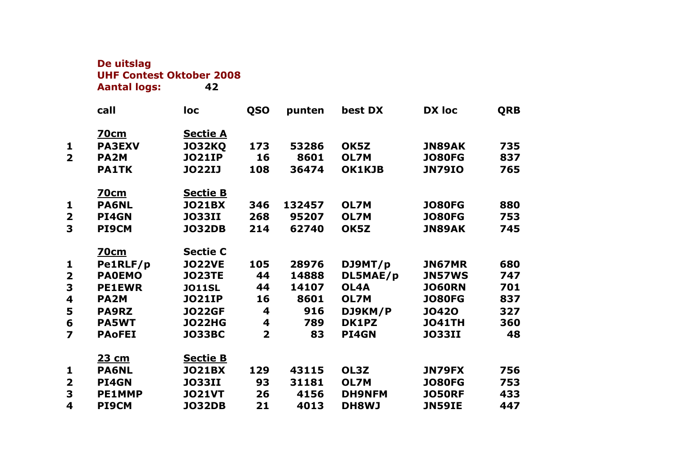**De uitslag UHF Contest Oktober 2008 Aantal logs:** 

|                         | call              | loc             | <b>QSO</b>     | punten | best DX       | <b>DX loc</b> | <b>QRB</b> |
|-------------------------|-------------------|-----------------|----------------|--------|---------------|---------------|------------|
|                         |                   |                 |                |        |               |               |            |
|                         | <u>70cm</u>       | <u>Sectie A</u> |                |        |               |               |            |
| 1                       | <b>PA3EXV</b>     | <b>JO32KQ</b>   | 173            | 53286  | OK5Z          | <b>JN89AK</b> | 735        |
| $\overline{\mathbf{2}}$ | PA <sub>2</sub> M | <b>JO21IP</b>   | 16             | 8601   | OL7M          | <b>JO80FG</b> | 837        |
|                         | <b>PA1TK</b>      | <b>JO22IJ</b>   | 108            | 36474  | OK1KJB        | <b>JN79IO</b> | 765        |
|                         | <u>70cm</u>       | <b>Sectie B</b> |                |        |               |               |            |
| $\mathbf{1}$            | <b>PA6NL</b>      | <b>JO21BX</b>   | 346            | 132457 | OL7M          | <b>JO80FG</b> | 880        |
| $\overline{\mathbf{2}}$ | PI4GN             | <b>JO33II</b>   | 268            | 95207  | <b>OL7M</b>   | <b>JO80FG</b> | 753        |
| 3                       | <b>PI9CM</b>      | <b>JO32DB</b>   | 214            | 62740  | OK5Z          | <b>JN89AK</b> | 745        |
|                         |                   |                 |                |        |               |               |            |
|                         | <u>70cm</u>       | <b>Sectie C</b> |                |        |               |               |            |
| 1                       | Pe1RLF/p          | <b>JO22VE</b>   | 105            | 28976  | DJ9MT/p       | <b>JN67MR</b> | 680        |
| $\overline{\mathbf{2}}$ | <b>PAOEMO</b>     | <b>JO23TE</b>   | 44             | 14888  | DL5MAE/p      | <b>JN57WS</b> | 747        |
| 3                       | <b>PE1EWR</b>     | <b>JO11SL</b>   | 44             | 14107  | OL4A          | <b>JO60RN</b> | 701        |
| $\overline{\mathbf{4}}$ | <b>PA2M</b>       | <b>JO21IP</b>   | 16             | 8601   | OL7M          | <b>JO80FG</b> | 837        |
| 5                       | <b>PA9RZ</b>      | <b>JO22GF</b>   | 4              | 916    | DJ9KM/P       | <b>JO420</b>  | 327        |
| 6                       | <b>PA5WT</b>      | <b>JO22HG</b>   | 4              | 789    | DK1PZ         | <b>JO41TH</b> | 360        |
| $\overline{\mathbf{z}}$ | <b>PAoFEI</b>     | <b>JO33BC</b>   | $\overline{2}$ | 83     | PI4GN         | <b>JO33II</b> | 48         |
|                         | <u>23 cm</u>      | <b>Sectie B</b> |                |        |               |               |            |
| 1                       | <b>PA6NL</b>      | <b>JO21BX</b>   | 129            | 43115  | OL3Z          | <b>JN79FX</b> | 756        |
| $\overline{\mathbf{2}}$ | PI4GN             | <b>JO33II</b>   | 93             | 31181  | OL7M          | <b>JO80FG</b> | 753        |
| 3                       | <b>PE1MMP</b>     | <b>JO21VT</b>   | 26             | 4156   |               | <b>JO50RF</b> | 433        |
|                         |                   |                 |                |        | <b>DH9NFM</b> |               |            |
| $\overline{\mathbf{4}}$ | <b>PI9CM</b>      | <b>JO32DB</b>   | 21             | 4013   | <b>DH8WJ</b>  | <b>JN59IE</b> | 447        |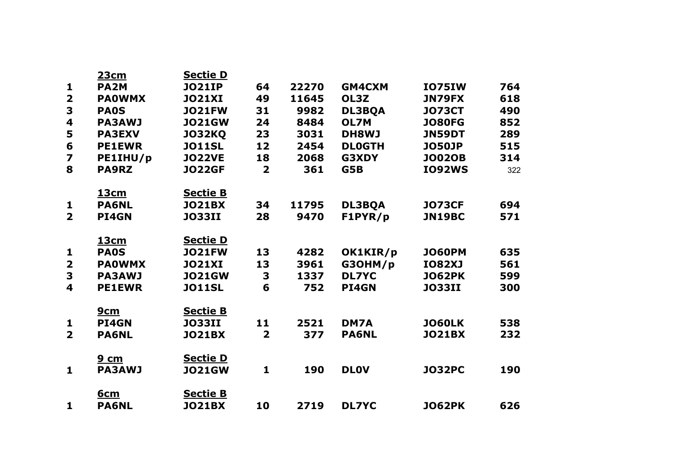|                         | <u>23cm</u>       | <b>Sectie D</b> |                         |       |               |               |     |
|-------------------------|-------------------|-----------------|-------------------------|-------|---------------|---------------|-----|
| 1                       | PA <sub>2</sub> M | <b>JO21IP</b>   | 64                      | 22270 | <b>GM4CXM</b> | <b>IO75IW</b> | 764 |
| $\overline{\mathbf{2}}$ | <b>PAOWMX</b>     | <b>JO21XI</b>   | 49                      | 11645 | OL3Z          | <b>JN79FX</b> | 618 |
| 3                       | <b>PAOS</b>       | <b>JO21FW</b>   | 31                      | 9982  | <b>DL3BQA</b> | <b>JO73CT</b> | 490 |
| 4                       | <b>PA3AWJ</b>     | <b>JO21GW</b>   | 24                      | 8484  | OL7M          | <b>JO80FG</b> | 852 |
| 5                       | <b>PA3EXV</b>     | <b>JO32KQ</b>   | 23                      | 3031  | <b>DH8WJ</b>  | <b>JN59DT</b> | 289 |
| 6                       | <b>PE1EWR</b>     | <b>JO11SL</b>   | 12                      | 2454  | <b>DLOGTH</b> | <b>JO50JP</b> | 515 |
| $\overline{\mathbf{z}}$ | PE1IHU/p          | <b>JO22VE</b>   | 18                      | 2068  | G3XDY         | <b>JO02OB</b> | 314 |
| 8                       | <b>PA9RZ</b>      | <b>JO22GF</b>   | $\overline{\mathbf{2}}$ | 361   | G5B           | <b>IO92WS</b> | 322 |
|                         | <u>13cm</u>       | <b>Sectie B</b> |                         |       |               |               |     |
| 1                       | <b>PA6NL</b>      | <b>JO21BX</b>   | 34                      | 11795 | <b>DL3BQA</b> | <b>JO73CF</b> | 694 |
| $\overline{2}$          | <b>PI4GN</b>      | <b>JO33II</b>   | 28                      | 9470  | F1PYR/p       | <b>JN19BC</b> | 571 |
|                         | <u>13cm</u>       | <b>Sectie D</b> |                         |       |               |               |     |
| $\mathbf{1}$            | <b>PAOS</b>       | <b>JO21FW</b>   | 13                      | 4282  | OK1KIR/p      | <b>JO60PM</b> | 635 |
| $\overline{\mathbf{2}}$ | <b>PAOWMX</b>     | <b>JO21XI</b>   | 13                      | 3961  | G3OHM/p       | <b>IO82XJ</b> | 561 |
| 3                       | <b>PA3AWJ</b>     | <b>JO21GW</b>   | 3                       | 1337  | <b>DL7YC</b>  | <b>JO62PK</b> | 599 |
| $\overline{\mathbf{4}}$ | <b>PE1EWR</b>     | <b>JO11SL</b>   | 6                       | 752   | PI4GN         | <b>JO33II</b> | 300 |
|                         | 9cm               | <b>Sectie B</b> |                         |       |               |               |     |
| 1                       | PI4GN             | <b>JO33II</b>   | 11                      | 2521  | DM7A          | <b>JO60LK</b> | 538 |
| $\overline{2}$          | <b>PA6NL</b>      | <b>JO21BX</b>   | $\overline{\mathbf{2}}$ | 377   | <b>PA6NL</b>  | <b>JO21BX</b> | 232 |
|                         | <u>9 cm</u>       | <b>Sectie D</b> |                         |       |               |               |     |
| $\mathbf{1}$            | <b>PA3AWJ</b>     | <b>JO21GW</b>   | 1                       | 190   | <b>DLOV</b>   | <b>JO32PC</b> | 190 |
|                         | <u>6cm</u>        | <b>Sectie B</b> |                         |       |               |               |     |
| $\mathbf{1}$            | <b>PA6NL</b>      | <b>JO21BX</b>   | 10                      | 2719  | <b>DL7YC</b>  | <b>JO62PK</b> | 626 |